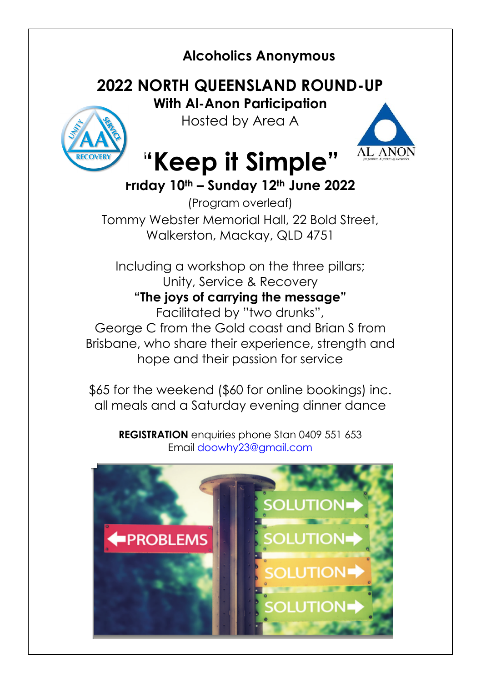## **Alcoholics Anonymous**

## **2022 NORTH QUEENSLAND ROUND-UP**

**With Al-Anon Participation** Hosted by Area A





# **"Keep it Simple"**

## **Friday 10th – Sunday 12th June 2022**

(Program overleaf) Tommy Webster Memorial Hall, 22 Bold Street, Walkerston, Mackay, QLD 4751

Including a workshop on the three pillars; Unity, Service & Recovery **"The joys of carrying the message"** Facilitated by "two drunks",

George C from the Gold coast and Brian S from Brisbane, who share their experience, strength and hope and their passion for service

\$65 for the weekend (\$60 for online bookings) inc. all meals and a Saturday evening dinner dance

**REGISTRATION** enquiries phone Stan 0409 551 653 Email doowhy23@gmail.com